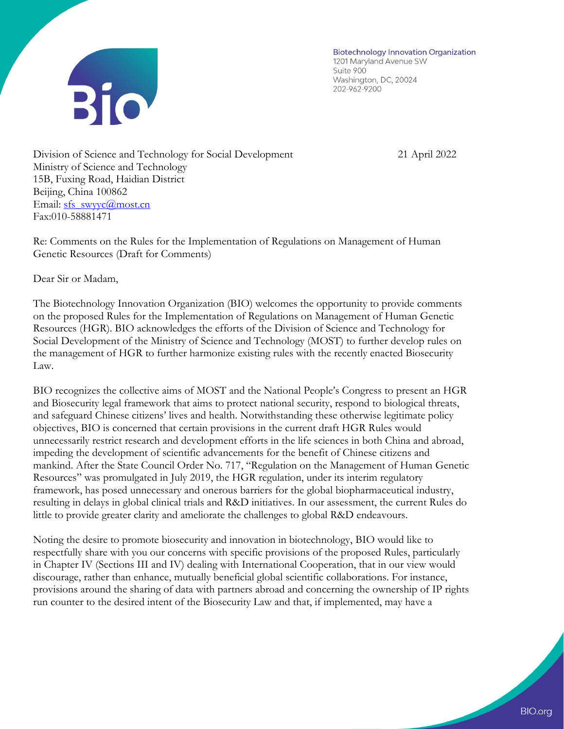

**Biotechnology Innovation Organization** 1201 Maryland Avenue SW Suite 900 Washington, DC, 20024 202-962-9200

Division of Science and Technology for Social Development 21 April 2022 Ministry of Science and Technology 15B, Fuxing Road, Haidian District Beijing, China 100862 Email: [sfs\\_swyyc@most.cn](mailto:sfs_swyyc@most.cn) Fax:010-58881471

Re: Comments on the Rules for the Implementation of Regulations on Management of Human Genetic Resources (Draft for Comments)

Dear Sir or Madam,

The Biotechnology Innovation Organization (BIO) welcomes the opportunity to provide comments on the proposed Rules for the Implementation of Regulations on Management of Human Genetic Resources (HGR). BIO acknowledges the efforts of the Division of Science and Technology for Social Development of the Ministry of Science and Technology (MOST) to further develop rules on the management of HGR to further harmonize existing rules with the recently enacted Biosecurity Law.

BIO recognizes the collective aims of MOST and the National People's Congress to present an HGR and Biosecurity legal framework that aims to protect national security, respond to biological threats, and safeguard Chinese citizens' lives and health. Notwithstanding these otherwise legitimate policy objectives, BIO is concerned that certain provisions in the current draft HGR Rules would unnecessarily restrict research and development efforts in the life sciences in both China and abroad, impeding the development of scientific advancements for the benefit of Chinese citizens and mankind. After the State Council Order No. 717, "Regulation on the Management of Human Genetic Resources" was promulgated in July 2019, the HGR regulation, under its interim regulatory framework, has posed unnecessary and onerous barriers for the global biopharmaceutical industry, resulting in delays in global clinical trials and R&D initiatives. In our assessment, the current Rules do little to provide greater clarity and ameliorate the challenges to global R&D endeavours.

Noting the desire to promote biosecurity and innovation in biotechnology, BIO would like to respectfully share with you our concerns with specific provisions of the proposed Rules, particularly in Chapter IV (Sections III and IV) dealing with International Cooperation, that in our view would discourage, rather than enhance, mutually beneficial global scientific collaborations. For instance, provisions around the sharing of data with partners abroad and concerning the ownership of IP rights run counter to the desired intent of the Biosecurity Law and that, if implemented, may have a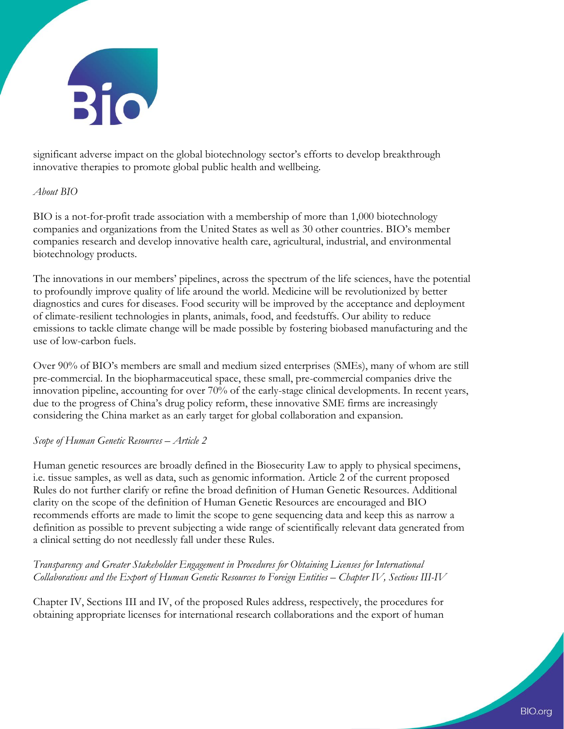

significant adverse impact on the global biotechnology sector's efforts to develop breakthrough innovative therapies to promote global public health and wellbeing.

## *About BIO*

BIO is a not-for-profit trade association with a membership of more than 1,000 biotechnology companies and organizations from the United States as well as 30 other countries. BIO's member companies research and develop innovative health care, agricultural, industrial, and environmental biotechnology products.

The innovations in our members' pipelines, across the spectrum of the life sciences, have the potential to profoundly improve quality of life around the world. Medicine will be revolutionized by better diagnostics and cures for diseases. Food security will be improved by the acceptance and deployment of climate-resilient technologies in plants, animals, food, and feedstuffs. Our ability to reduce emissions to tackle climate change will be made possible by fostering biobased manufacturing and the use of low-carbon fuels.

Over 90% of BIO's members are small and medium sized enterprises (SMEs), many of whom are still pre-commercial. In the biopharmaceutical space, these small, pre-commercial companies drive the innovation pipeline, accounting for over 70% of the early-stage clinical developments. In recent years, due to the progress of China's drug policy reform, these innovative SME firms are increasingly considering the China market as an early target for global collaboration and expansion.

## *Scope of Human Genetic Resources – Article 2*

Human genetic resources are broadly defined in the Biosecurity Law to apply to physical specimens, i.e. tissue samples, as well as data, such as genomic information. Article 2 of the current proposed Rules do not further clarify or refine the broad definition of Human Genetic Resources. Additional clarity on the scope of the definition of Human Genetic Resources are encouraged and BIO recommends efforts are made to limit the scope to gene sequencing data and keep this as narrow a definition as possible to prevent subjecting a wide range of scientifically relevant data generated from a clinical setting do not needlessly fall under these Rules.

# *Transparency and Greater Stakeholder Engagement in Procedures for Obtaining Licenses for International Collaborations and the Export of Human Genetic Resources to Foreign Entities – Chapter IV, Sections III-IV*

Chapter IV, Sections III and IV, of the proposed Rules address, respectively, the procedures for obtaining appropriate licenses for international research collaborations and the export of human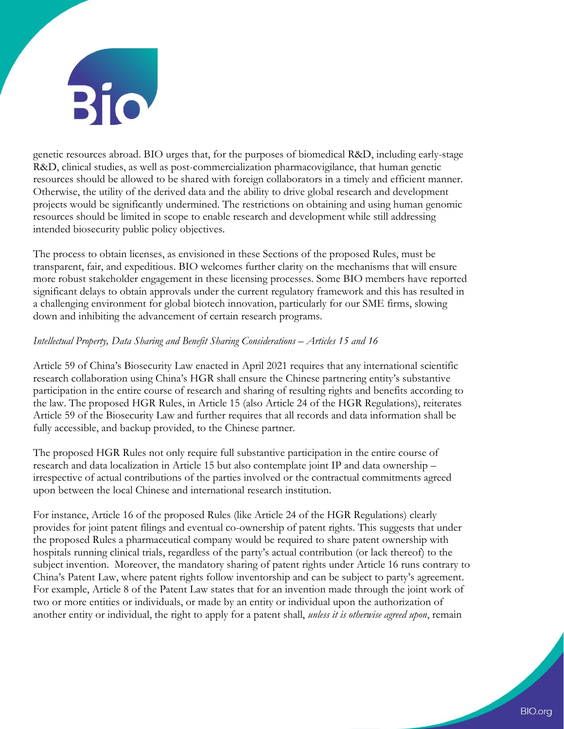

genetic resources abroad. BIO urges that, for the purposes of biomedical R&D, including early-stage R&D, clinical studies, as well as post-commercialization pharmacovigilance, that human genetic resources should be allowed to be shared with foreign collaborators in a timely and efficient manner. Otherwise, the utility of the derived data and the ability to drive global research and development projects would be significantly undermined. The restrictions on obtaining and using human genomic resources should be limited in scope to enable research and development while still addressing intended biosecurity public policy objectives.

The process to obtain licenses, as envisioned in these Sections of the proposed Rules, must be transparent, fair, and expeditious. BIO welcomes further clarity on the mechanisms that will ensure more robust stakeholder engagement in these licensing processes. Some BIO members have reported significant delays to obtain approvals under the current regulatory framework and this has resulted in a challenging environment for global biotech innovation, particularly for our SME firms, slowing down and inhibiting the advancement of certain research programs.

### *Intellectual Property, Data Sharing and Benefit Sharing Considerations – Articles 15 and 16*

Article 59 of China's Biosecurity Law enacted in April 2021 requires that any international scientific research collaboration using China's HGR shall ensure the Chinese partnering entity's substantive participation in the entire course of research and sharing of resulting rights and benefits according to the law. The proposed HGR Rules, in Article 15 (also Article 24 of the HGR Regulations), reiterates Article 59 of the Biosecurity Law and further requires that all records and data information shall be fully accessible, and backup provided, to the Chinese partner.

The proposed HGR Rules not only require full substantive participation in the entire course of research and data localization in Article 15 but also contemplate joint IP and data ownership – irrespective of actual contributions of the parties involved or the contractual commitments agreed upon between the local Chinese and international research institution.

For instance, Article 16 of the proposed Rules (like Article 24 of the HGR Regulations) clearly provides for joint patent filings and eventual co-ownership of patent rights. This suggests that under the proposed Rules a pharmaceutical company would be required to share patent ownership with hospitals running clinical trials, regardless of the party's actual contribution (or lack thereof) to the subject invention. Moreover, the mandatory sharing of patent rights under Article 16 runs contrary to China's Patent Law, where patent rights follow inventorship and can be subject to party's agreement. For example, Article 8 of the Patent Law states that for an invention made through the joint work of two or more entities or individuals, or made by an entity or individual upon the authorization of another entity or individual, the right to apply for a patent shall, *unless it is otherwise agreed upon*, remain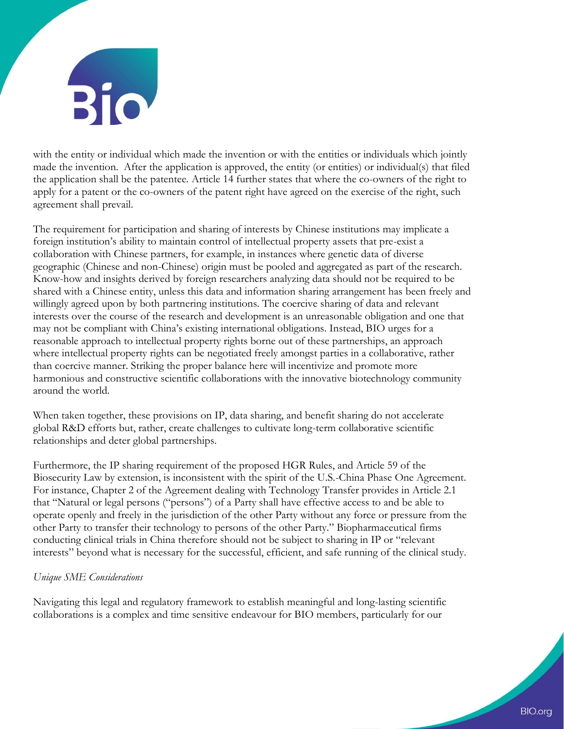

with the entity or individual which made the invention or with the entities or individuals which jointly made the invention. After the application is approved, the entity (or entities) or individual(s) that filed the application shall be the patentee. Article 14 further states that where the co-owners of the right to apply for a patent or the co-owners of the patent right have agreed on the exercise of the right, such agreement shall prevail.

The requirement for participation and sharing of interests by Chinese institutions may implicate a foreign institution's ability to maintain control of intellectual property assets that pre-exist a collaboration with Chinese partners, for example, in instances where genetic data of diverse geographic (Chinese and non-Chinese) origin must be pooled and aggregated as part of the research. Know-how and insights derived by foreign researchers analyzing data should not be required to be shared with a Chinese entity, unless this data and information sharing arrangement has been freely and willingly agreed upon by both partnering institutions. The coercive sharing of data and relevant interests over the course of the research and development is an unreasonable obligation and one that may not be compliant with China's existing international obligations. Instead, BIO urges for a reasonable approach to intellectual property rights borne out of these partnerships, an approach where intellectual property rights can be negotiated freely amongst parties in a collaborative, rather than coercive manner. Striking the proper balance here will incentivize and promote more harmonious and constructive scientific collaborations with the innovative biotechnology community around the world.

When taken together, these provisions on IP, data sharing, and benefit sharing do not accelerate global R&D efforts but, rather, create challenges to cultivate long-term collaborative scientific relationships and deter global partnerships.

Furthermore, the IP sharing requirement of the proposed HGR Rules, and Article 59 of the Biosecurity Law by extension, is inconsistent with the spirit of the U.S.-China Phase One Agreement. For instance, Chapter 2 of the Agreement dealing with Technology Transfer provides in Article 2.1 that "Natural or legal persons ("persons") of a Party shall have effective access to and be able to operate openly and freely in the jurisdiction of the other Party without any force or pressure from the other Party to transfer their technology to persons of the other Party." Biopharmaceutical firms conducting clinical trials in China therefore should not be subject to sharing in IP or "relevant interests" beyond what is necessary for the successful, efficient, and safe running of the clinical study.

## *Unique SME Considerations*

Navigating this legal and regulatory framework to establish meaningful and long-lasting scientific collaborations is a complex and time sensitive endeavour for BIO members, particularly for our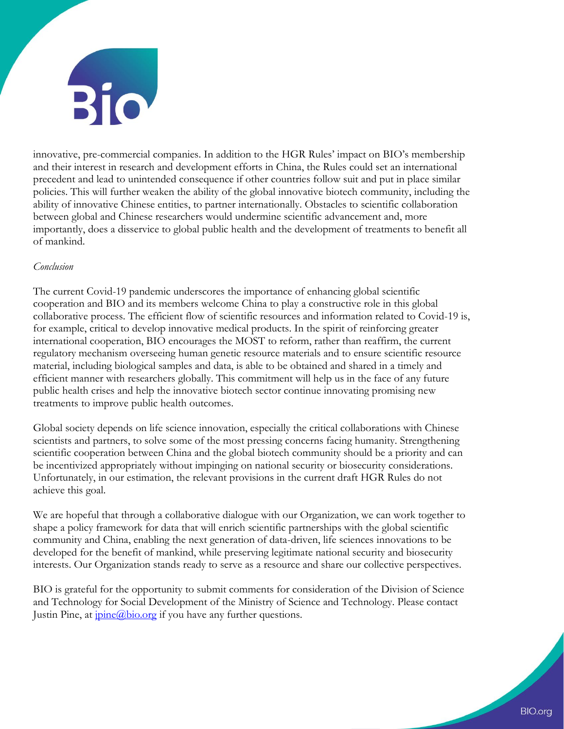

innovative, pre-commercial companies. In addition to the HGR Rules' impact on BIO's membership and their interest in research and development efforts in China, the Rules could set an international precedent and lead to unintended consequence if other countries follow suit and put in place similar policies. This will further weaken the ability of the global innovative biotech community, including the ability of innovative Chinese entities, to partner internationally. Obstacles to scientific collaboration between global and Chinese researchers would undermine scientific advancement and, more importantly, does a disservice to global public health and the development of treatments to benefit all of mankind.

#### *Conclusion*

The current Covid-19 pandemic underscores the importance of enhancing global scientific cooperation and BIO and its members welcome China to play a constructive role in this global collaborative process. The efficient flow of scientific resources and information related to Covid-19 is, for example, critical to develop innovative medical products. In the spirit of reinforcing greater international cooperation, BIO encourages the MOST to reform, rather than reaffirm, the current regulatory mechanism overseeing human genetic resource materials and to ensure scientific resource material, including biological samples and data, is able to be obtained and shared in a timely and efficient manner with researchers globally. This commitment will help us in the face of any future public health crises and help the innovative biotech sector continue innovating promising new treatments to improve public health outcomes.

Global society depends on life science innovation, especially the critical collaborations with Chinese scientists and partners, to solve some of the most pressing concerns facing humanity. Strengthening scientific cooperation between China and the global biotech community should be a priority and can be incentivized appropriately without impinging on national security or biosecurity considerations. Unfortunately, in our estimation, the relevant provisions in the current draft HGR Rules do not achieve this goal.

We are hopeful that through a collaborative dialogue with our Organization, we can work together to shape a policy framework for data that will enrich scientific partnerships with the global scientific community and China, enabling the next generation of data-driven, life sciences innovations to be developed for the benefit of mankind, while preserving legitimate national security and biosecurity interests. Our Organization stands ready to serve as a resource and share our collective perspectives.

BIO is grateful for the opportunity to submit comments for consideration of the Division of Science and Technology for Social Development of the Ministry of Science and Technology. Please contact Justin Pine, at  $\overline{pine(a)}\overline{bio.org}$  if you have any further questions.